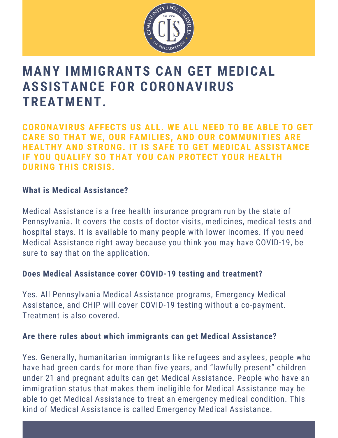

# **MANY IMMIGRANTS CAN GET MEDICAL ASSISTANCE FOR CORONAVIRUS TREATMENT.**

**CORONAVIRUS AFFECTS US ALL. WE ALL NEED TO BE ABLE TO GET CARE SO THAT WE, OUR FAMILIES, AND OUR COMMUNITIES ARE HEALTHY AND STRONG. IT IS SAFE TO GET MEDICAL ASSISTANCE IF YOU QUALIFY SO THAT YOU CAN PROTECT YOUR HEALTH DURING THIS CRISIS.**

### **What is Medical Assistance?**

Medical Assistance is a free health insurance program run by the state of Pennsylvania. It covers the costs of doctor visits, medicines, medical tests and hospital stays. It is available to many people with lower incomes. If you need Medical Assistance right away because you think you may have COVID-19, be sure to say that on the application.

#### **Does Medical Assistance cover COVID-19 testing and treatment?**

Yes. All Pennsylvania Medical Assistance programs, Emergency Medical Assistance, and CHIP will cover COVID-19 testing without a co-payment. Treatment is also covered.

## **Are there rules about which immigrants can get Medical Assistance?**

Yes. Generally, humanitarian immigrants like refugees and asylees, people who have had green cards for more than five years, and "lawfully present" children under 21 and pregnant adults can get Medical Assistance. People who have an immigration status that makes them ineligible for Medical Assistance may be able to get Medical Assistance to treat an emergency medical condition. This kind of Medical Assistance is called Emergency Medical Assistance.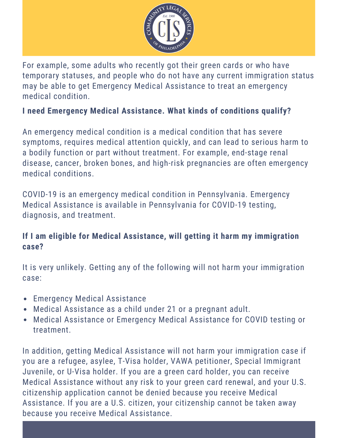

For example, some adults who recently got their green cards or who have temporary statuses, and people who do not have any current immigration status may be able to get Emergency Medical Assistance to treat an emergency medical condition.

## **I need Emergency Medical Assistance. What kinds of conditions qualify?**

An emergency medical condition is a medical condition that has severe symptoms, requires medical attention quickly, and can lead to serious harm to a bodily function or part without treatment. For example, end-stage renal disease, cancer, broken bones, and high-risk pregnancies are often emergency medical conditions.

COVID-19 is an emergency medical condition in Pennsylvania. Emergency Medical Assistance is available in Pennsylvania for COVID-19 testing, diagnosis, and treatment.

## **If I am eligible for Medical Assistance, will getting it harm my immigration case?**

It is very unlikely. Getting any of the following will not harm your immigration case:

- Emergency Medical Assistance
- Medical Assistance as a child under 21 or a pregnant adult.
- Medical Assistance or Emergency Medical Assistance for COVID testing or treatment.

In addition, getting Medical Assistance will not harm your immigration case if you are a refugee, asylee, T-Visa holder, VAWA petitioner, Special Immigrant Juvenile, or U-Visa holder. If you are a green card holder, you can receive Medical Assistance without any risk to your green card renewal, and your U.S. citizenship application cannot be denied because you receive Medical Assistance. If you are a U.S. citizen, your citizenship cannot be taken away because you receive Medical Assistance.